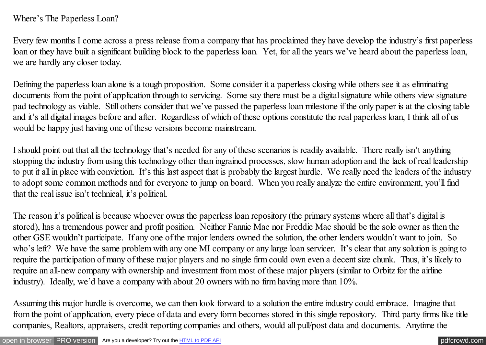## Where's The Paperless Loan?

Every few months I come across a press release from a company that has proclaimed they have develop the industry's first paperless loan or they have built a significant building block to the paperless loan. Yet, for all the years we've heard about the paperless loan, we are hardly any closer today.

Defining the paperless loan alone is a tough proposition. Some consider it a paperless closing while others see it as eliminating documents from the point of application through to servicing. Some say there must be a digital signature while others view signature pad technology as viable. Still others consider that we've passed the paperless loan milestone if the only paper is at the closing table and it's all digital images before and after. Regardless of which of these options constitute the real paperless loan, I think all of us would be happy just having one of these versions become mainstream.

I should point out that all the technology that's needed for any of these scenarios is readily available. There really isn't anything stopping the industry from using this technology other than ingrained processes, slow human adoption and the lack of real leadership to put it all in place with conviction. It's this last aspect that is probably the largest hurdle. We really need the leaders of the industry to adopt some common methods and for everyone to jump on board. When you really analyze the entire environment, you'll find that the real issue isn't technical, it's political.

The reason it's political is because whoever owns the paperless loan repository (the primary systems where all that's digital is stored), has a tremendous power and profit position. Neither Fannie Mae nor Freddie Mac should be the sole owner as then the other GSE wouldn't participate. If any one of the major lenders owned the solution, the other lenders wouldn't want to join. So who's left? We have the same problem with any one MI company or any large loan servicer. It's clear that any solution is going to require the participation of many of these major players and no single firm could own even a decent size chunk. Thus, it's likely to require an all-new company with ownership and investment from most of these major players (similar to Orbitz for the airline industry). Ideally, we'd have a company with about 20 owners with no firm having more than 10%.

Assuming this major hurdle is overcome, we can then look forward to a solution the entire industry could embrace. Imagine that from the point of application, every piece of data and every form becomes stored in this single repository. Third party firms like title companies, Realtors, appraisers, credit reporting companies and others, would all pull/post data and documents. Anytime the